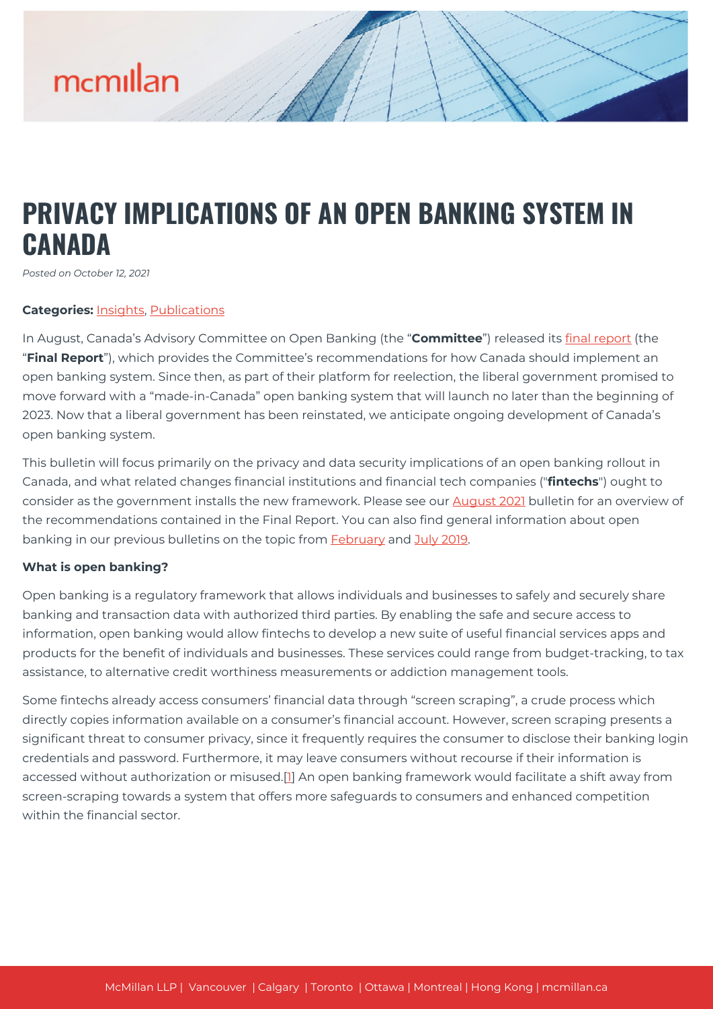# **PRIVACY IMPLICATIONS OF AN OPEN BANKING SYSTEM IN CANADA**

*Posted on October 12, 2021*

### **Categories:** [Insights,](https://mcmillan.ca/insights/) [Publications](https://mcmillan.ca/insights/publications/)

In August, Canada's Advisory Committee on Open Banking (the "**Committee**") released its [final report](https://mcmillan.ca/insights/open-banking-in-canada-could-2023-be-the-year/) (the "**Final Report**"), which provides the Committee's recommendations for how Canada should implement an open banking system. Since then, as part of their platform for reelection, the liberal government promised to move forward with a "made-in-Canada" open banking system that will launch no later than the beginning of 2023. Now that a liberal government has been reinstated, we anticipate ongoing development of Canada's open banking system.

This bulletin will focus primarily on the privacy and data security implications of an open banking rollout in Canada, and what related changes financial institutions and financial tech companies ("**fintechs**") ought to consider as the government installs the new framework. Please see our [August 2021](https://mcmillan.ca/insights/open-banking-in-canada-could-2023-be-the-year/) bulletin for an overview of the recommendations contained in the Final Report. You can also find general information about open banking in our previous bulletins on the topic from **February** and [July 2019.](https://mcmillan.ca/insights/a-call-to-action-on-open-banking/)

### **What is open banking?**

Open banking is a regulatory framework that allows individuals and businesses to safely and securely share banking and transaction data with authorized third parties. By enabling the safe and secure access to information, open banking would allow fintechs to develop a new suite of useful financial services apps and products for the benefit of individuals and businesses. These services could range from budget-tracking, to tax assistance, to alternative credit worthiness measurements or addiction management tools.

Some fintechs already access consumers' financial data through "screen scraping", a crude process which directly copies information available on a consumer's financial account. However, screen scraping presents a significant threat to consumer privacy, since it frequently requires the consumer to disclose their banking login credentials and password. Furthermore, it may leave consumers without recourse if their information is accessed without authorization or misused.[[1](#page--1-0)] An open banking framework would facilitate a shift away from screen-scraping towards a system that offers more safeguards to consumers and enhanced competition within the financial sector.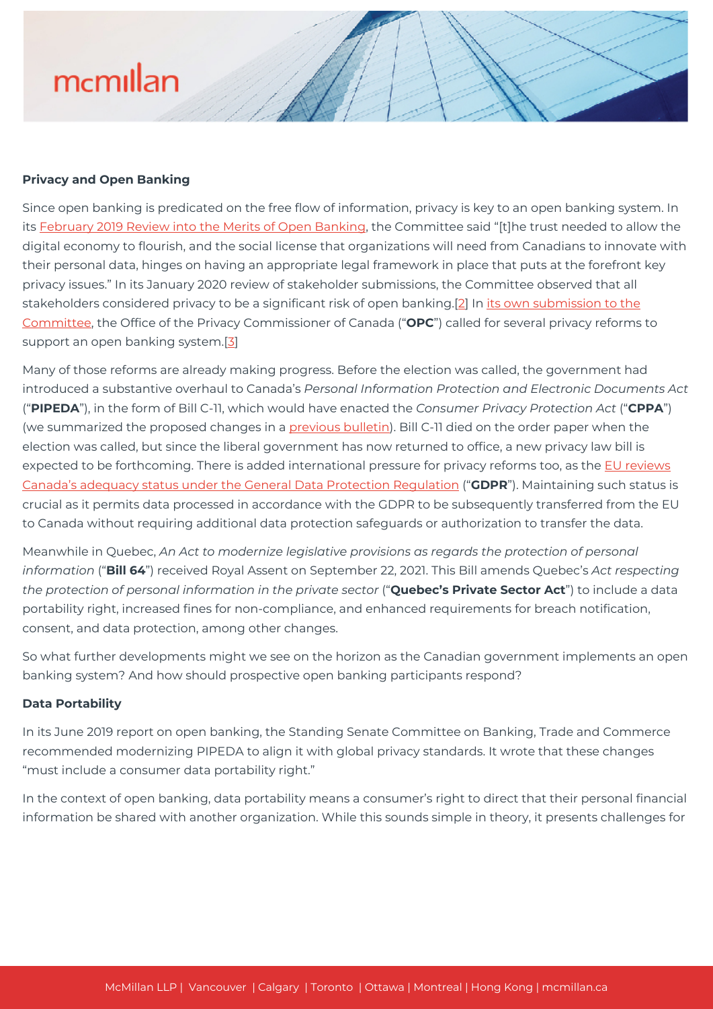## **Privacy and Open Banking**

Since open banking is predicated on the free flow of information, privacy is key to an open banking system. In its [February 2019 Review into the Merits of Open Banking](https://www.canada.ca/en/department-finance/programs/consultations/2019/open-banking.html), the Committee said "[t]he trust needed to allow the digital economy to flourish, and the social license that organizations will need from Canadians to innovate with their personal data, hinges on having an appropriate legal framework in place that puts at the forefront key privacy issues." In its January 2020 review of stakeholder submissions, the Committee observed that all stakeholders considered privacy to be a significant risk of open banking.[[2](#page--1-0)] In [its own submission to the](https://www.priv.gc.ca/en/opc-actions-and-decisions/submissions-to-consultations/sub_fc_190211/) [Committee](https://www.priv.gc.ca/en/opc-actions-and-decisions/submissions-to-consultations/sub_fc_190211/), the Office of the Privacy Commissioner of Canada ("**OPC**") called for several privacy reforms to support an open banking system.[\[3\]](#page--1-0)

Many of those reforms are already making progress. Before the election was called, the government had introduced a substantive overhaul to Canada's *Personal Information Protection and Electronic Documents Act* ("**PIPEDA**"), in the form of Bill C-11, which would have enacted the *Consumer Privacy Protection Act* ("**CPPA**") (we summarized the proposed changes in a [previous bulletin](https://mcmillan.ca/insights/another-leap-forward-for-canadian-privacy-laws/)). Bill C-11 died on the order paper when the election was called, but since the liberal government has now returned to office, a new privacy law bill is expected to be forthcoming. There is added international pressure for privacy reforms too, as the [EU reviews](https://www.priv.gc.ca/en/opc-news/news-and-announcements/2021/an_210813/) [Canada's adequacy status under the General Data Protection Regulation](https://www.priv.gc.ca/en/opc-news/news-and-announcements/2021/an_210813/) ("**GDPR**"). Maintaining such status is crucial as it permits data processed in accordance with the GDPR to be subsequently transferred from the EU to Canada without requiring additional data protection safeguards or authorization to transfer the data.

Meanwhile in Quebec, *An Act to modernize legislative provisions as regards the protection of personal information* ("**Bill 64**") received Royal Assent on September 22, 2021. This Bill amends Quebec's *Act respecting the protection of personal information in the private sector* ("**Quebec's Private Sector Act**") to include a data portability right, increased fines for non-compliance, and enhanced requirements for breach notification, consent, and data protection, among other changes.

So what further developments might we see on the horizon as the Canadian government implements an open banking system? And how should prospective open banking participants respond?

### **Data Portability**

In its June 2019 report on open banking, the Standing Senate Committee on Banking, Trade and Commerce recommended modernizing PIPEDA to align it with global privacy standards. It wrote that these changes "must include a consumer data portability right."

In the context of open banking, data portability means a consumer's right to direct that their personal financial information be shared with another organization. While this sounds simple in theory, it presents challenges for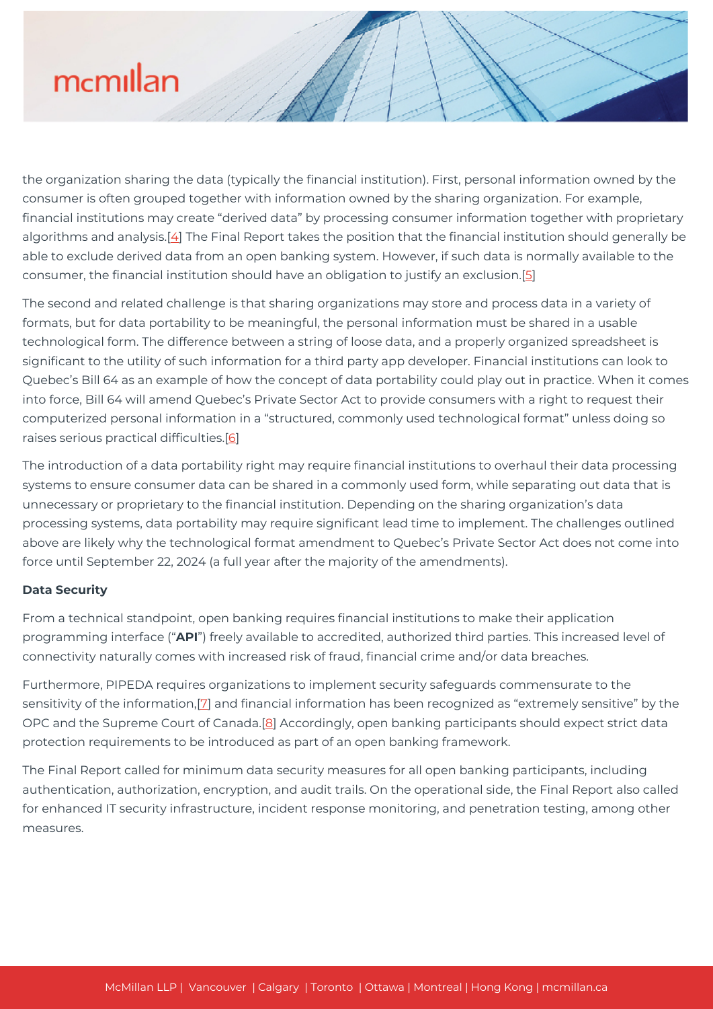the organization sharing the data (typically the financial institution). First, personal information owned by the consumer is often grouped together with information owned by the sharing organization. For example, financial institutions may create "derived data" by processing consumer information together with proprietary algorithms and analysis.[[4](#page--1-0)] The Final Report takes the position that the financial institution should generally be able to exclude derived data from an open banking system. However, if such data is normally available to the consumer, the financial institution should have an obligation to justify an exclusion.[[5](#page--1-0)]

The second and related challenge is that sharing organizations may store and process data in a variety of formats, but for data portability to be meaningful, the personal information must be shared in a usable technological form. The difference between a string of loose data, and a properly organized spreadsheet is significant to the utility of such information for a third party app developer. Financial institutions can look to Quebec's Bill 64 as an example of how the concept of data portability could play out in practice. When it comes into force, Bill 64 will amend Quebec's Private Sector Act to provide consumers with a right to request their computerized personal information in a "structured, commonly used technological format" unless doing so raises serious practical difficulties.[[6\]](#page--1-0)

The introduction of a data portability right may require financial institutions to overhaul their data processing systems to ensure consumer data can be shared in a commonly used form, while separating out data that is unnecessary or proprietary to the financial institution. Depending on the sharing organization's data processing systems, data portability may require significant lead time to implement. The challenges outlined above are likely why the technological format amendment to Quebec's Private Sector Act does not come into force until September 22, 2024 (a full year after the majority of the amendments).

# **Data Security**

From a technical standpoint, open banking requires financial institutions to make their application programming interface ("**API**") freely available to accredited, authorized third parties. This increased level of connectivity naturally comes with increased risk of fraud, financial crime and/or data breaches.

Furthermore, PIPEDA requires organizations to implement security safeguards commensurate to the sensitivity of the information,[\[7](#page--1-0)] and financial information has been recognized as "extremely sensitive" by the OPC and the Supreme Court of Canada.[[8\]](#page--1-0) Accordingly, open banking participants should expect strict data protection requirements to be introduced as part of an open banking framework.

The Final Report called for minimum data security measures for all open banking participants, including authentication, authorization, encryption, and audit trails. On the operational side, the Final Report also called for enhanced IT security infrastructure, incident response monitoring, and penetration testing, among other measures.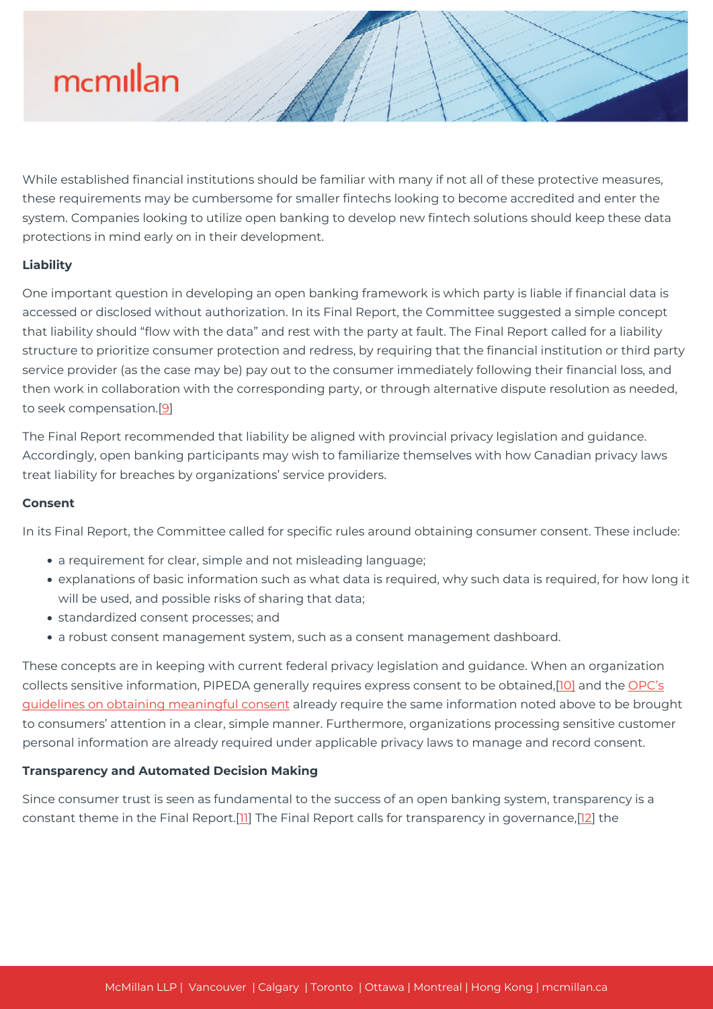

While established financial institutions should be familiar with many if not all of these protective measures, these requirements may be cumbersome for smaller fintechs looking to become accredited and enter the system. Companies looking to utilize open banking to develop new fintech solutions should keep these data protections in mind early on in their development.

### **Liability**

One important question in developing an open banking framework is which party is liable if financial data is accessed or disclosed without authorization. In its Final Report, the Committee suggested a simple concept that liability should "flow with the data" and rest with the party at fault. The Final Report called for a liability structure to prioritize consumer protection and redress, by requiring that the financial institution or third party service provider (as the case may be) pay out to the consumer immediately following their financial loss, and then work in collaboration with the corresponding party, or through alternative dispute resolution as needed, to seek compensation.<sup>[\[9](#page--1-0)]</sup>

The Final Report recommended that liability be aligned with provincial privacy legislation and guidance. Accordingly, open banking participants may wish to familiarize themselves with how Canadian privacy laws treat liability for breaches by organizations' service providers.

#### **Consent**

In its Final Report, the Committee called for specific rules around obtaining consumer consent. These include:

- a requirement for clear, simple and not misleading language;
- explanations of basic information such as what data is required, why such data is required, for how long it will be used, and possible risks of sharing that data;
- standardized consent processes; and
- a robust consent management system, such as a consent management dashboard.

These concepts are in keeping with current federal privacy legislation and guidance. When an organization collects sensitive information, PIPEDA generally requires express consent to be obtained,[\[10\]](#page--1-0) and the [OPC's](https://www.priv.gc.ca/en/privacy-topics/collecting-personal-information/consent/gl_omc_201805/) [guidelines on obtaining meaningful consent](https://www.priv.gc.ca/en/privacy-topics/collecting-personal-information/consent/gl_omc_201805/) already require the same information noted above to be brought to consumers' attention in a clear, simple manner. Furthermore, organizations processing sensitive customer personal information are already required under applicable privacy laws to manage and record consent.

### **Transparency and Automated Decision Making**

Since consumer trust is seen as fundamental to the success of an open banking system, transparency is a constant theme in the Final Report.<sup>[\[11](#page--1-0)]</sup> The Final Report calls for transparency in governance,<sup>[[12](#page--1-0)]</sup> the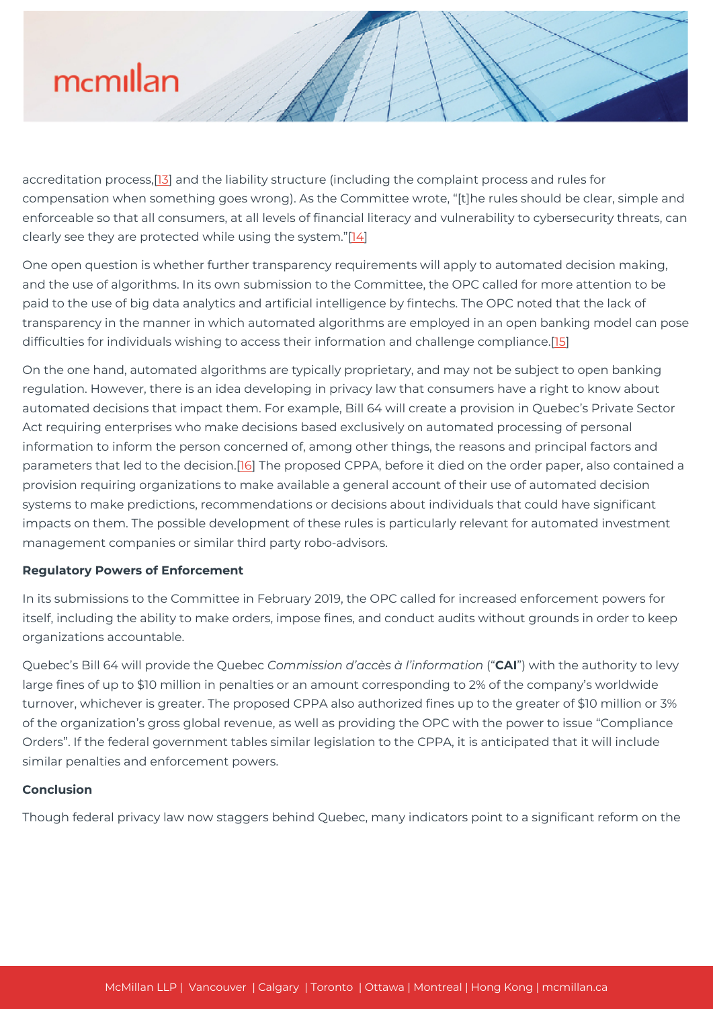accreditation process,[[13\]](#page--1-0) and the liability structure (including the complaint process and rules for compensation when something goes wrong). As the Committee wrote, "[t]he rules should be clear, simple and enforceable so that all consumers, at all levels of financial literacy and vulnerability to cybersecurity threats, can clearly see they are protected while using the system."[[14](#page--1-0)]

One open question is whether further transparency requirements will apply to automated decision making, and the use of algorithms. In its own submission to the Committee, the OPC called for more attention to be paid to the use of big data analytics and artificial intelligence by fintechs. The OPC noted that the lack of transparency in the manner in which automated algorithms are employed in an open banking model can pose difficulties for individuals wishing to access their information and challenge compliance.[\[15\]](#page--1-0)

On the one hand, automated algorithms are typically proprietary, and may not be subject to open banking regulation. However, there is an idea developing in privacy law that consumers have a right to know about automated decisions that impact them. For example, Bill 64 will create a provision in Quebec's Private Sector Act requiring enterprises who make decisions based exclusively on automated processing of personal information to inform the person concerned of, among other things, the reasons and principal factors and parameters that led to the decision.[[16](#page--1-0)] The proposed CPPA, before it died on the order paper, also contained a provision requiring organizations to make available a general account of their use of automated decision systems to make predictions, recommendations or decisions about individuals that could have significant impacts on them. The possible development of these rules is particularly relevant for automated investment management companies or similar third party robo-advisors.

### **Regulatory Powers of Enforcement**

In its submissions to the Committee in February 2019, the OPC called for increased enforcement powers for itself, including the ability to make orders, impose fines, and conduct audits without grounds in order to keep organizations accountable.

Quebec's Bill 64 will provide the Quebec *Commission d'accès à l'information* ("**CAI**") with the authority to levy large fines of up to \$10 million in penalties or an amount corresponding to 2% of the company's worldwide turnover, whichever is greater. The proposed CPPA also authorized fines up to the greater of \$10 million or 3% of the organization's gross global revenue, as well as providing the OPC with the power to issue "Compliance Orders". If the federal government tables similar legislation to the CPPA, it is anticipated that it will include similar penalties and enforcement powers.

# **Conclusion**

Though federal privacy law now staggers behind Quebec, many indicators point to a significant reform on the